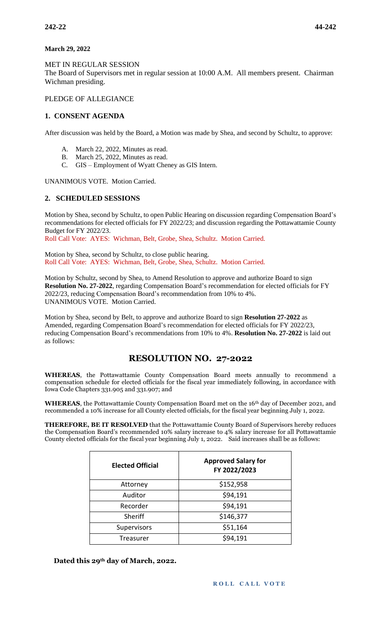#### **March 29, 2022**

MET IN REGULAR SESSION

The Board of Supervisors met in regular session at 10:00 A.M. All members present. Chairman Wichman presiding.

PLEDGE OF ALLEGIANCE

### **1. CONSENT AGENDA**

After discussion was held by the Board, a Motion was made by Shea, and second by Schultz, to approve:

- A. March 22, 2022, Minutes as read.
- B. March 25, 2022, Minutes as read.
- C. GIS Employment of Wyatt Cheney as GIS Intern.

UNANIMOUS VOTE. Motion Carried.

### **2. SCHEDULED SESSIONS**

Motion by Shea, second by Schultz, to open Public Hearing on discussion regarding Compensation Board's recommendations for elected officials for FY 2022/23; and discussion regarding the Pottawattamie County Budget for FY 2022/23.

Roll Call Vote: AYES: Wichman, Belt, Grobe, Shea, Schultz. Motion Carried.

Motion by Shea, second by Schultz, to close public hearing. Roll Call Vote: AYES: Wichman, Belt, Grobe, Shea, Schultz. Motion Carried.

Motion by Schultz, second by Shea, to Amend Resolution to approve and authorize Board to sign **Resolution No. 27-2022**, regarding Compensation Board's recommendation for elected officials for FY 2022/23, reducing Compensation Board's recommendation from 10% to 4%. UNANIMOUS VOTE. Motion Carried.

Motion by Shea, second by Belt, to approve and authorize Board to sign **Resolution 27-2022** as Amended, regarding Compensation Board's recommendation for elected officials for FY 2022/23, reducing Compensation Board's recommendations from 10% to 4%. **Resolution No. 27-2022** is laid out as follows:

# **RESOLUTION NO. 27-2022**

**WHEREAS**, the Pottawattamie County Compensation Board meets annually to recommend a compensation schedule for elected officials for the fiscal year immediately following, in accordance with Iowa Code Chapters 331.905 and 331.907; and

**WHEREAS**, the Pottawattamie County Compensation Board met on the 16th day of December 2021, and recommended a 10% increase for all County elected officials, for the fiscal year beginning July 1, 2022.

**THEREFORE, BE IT RESOLVED** that the Pottawattamie County Board of Supervisors hereby reduces the Compensation Board's recommended 10% salary increase to 4% salary increase for all Pottawattamie County elected officials for the fiscal year beginning July 1, 2022. Said increases shall be as follows:

| <b>Elected Official</b> | <b>Approved Salary for</b><br>FY 2022/2023 |
|-------------------------|--------------------------------------------|
| Attorney                | \$152,958                                  |
| Auditor                 | \$94,191                                   |
| Recorder                | \$94,191                                   |
| Sheriff                 | \$146,377                                  |
| Supervisors             | \$51,164                                   |
| Treasurer               | \$94,191                                   |

**Dated this 29th day of March, 2022.**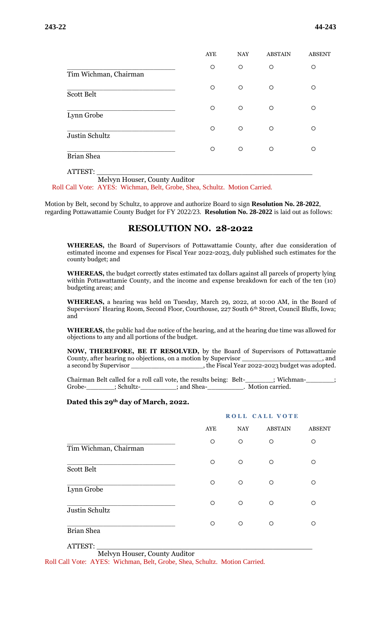|                       | <b>AYE</b> | <b>NAY</b> | <b>ABSTAIN</b> | <b>ABSENT</b> |
|-----------------------|------------|------------|----------------|---------------|
| Tim Wichman, Chairman | O          | $\circ$    | $\circ$        | $\circ$       |
| <b>Scott Belt</b>     | $\circ$    | $\circ$    | $\circ$        | $\circ$       |
| Lynn Grobe            | $\circ$    | $\circ$    | $\circ$        | O             |
| Justin Schultz        | $\circ$    | $\circ$    | $\circ$        | $\circ$       |
| <b>Brian Shea</b>     | O          | $\circ$    | O              | ∩             |

ATTEST: \_\_\_\_\_\_\_\_\_\_\_\_\_\_\_\_\_\_\_\_\_\_\_\_\_\_\_\_\_\_\_\_\_\_\_\_\_\_\_\_\_\_\_\_\_\_\_\_\_

Melvyn Houser, County Auditor

Roll Call Vote: AYES: Wichman, Belt, Grobe, Shea, Schultz. Motion Carried.

Motion by Belt, second by Schultz, to approve and authorize Board to sign **Resolution No. 28-2022**, regarding Pottawattamie County Budget for FY 2022/23. **Resolution No. 28-2022** is laid out as follows:

### **RESOLUTION NO. 28-2022**

**WHEREAS,** the Board of Supervisors of Pottawattamie County, after due consideration of estimated income and expenses for Fiscal Year 2022-2023, duly published such estimates for the county budget; and

**WHEREAS,** the budget correctly states estimated tax dollars against all parcels of property lying within Pottawattamie County, and the income and expense breakdown for each of the ten (10) budgeting areas; and

**WHEREAS,** a hearing was held on Tuesday, March 29, 2022, at 10:00 AM, in the Board of Supervisors' Hearing Room, Second Floor, Courthouse, 227 South 6th Street, Council Bluffs, Iowa; and

**WHEREAS,** the public had due notice of the hearing, and at the hearing due time was allowed for objections to any and all portions of the budget.

**NOW, THEREFORE, BE IT RESOLVED,** by the Board of Supervisors of Pottawattamie County, after hearing no objections, on a motion by Supervisor County, after hearing no objections, on a motion by Supervisor a second by Supervisor \_\_\_\_\_\_\_\_\_\_\_\_\_\_\_\_\_\_\_\_, the Fiscal Year 2022-2023 budget was adopted.

Chairman Belt called for a roll call vote, the results being: Belt-\_\_\_\_\_\_\_; Wichman-\_\_\_\_\_\_\_; Grobe-\_\_\_\_\_\_\_\_; Schultz-\_\_\_\_\_\_\_\_\_; and Shea-\_\_\_\_\_\_\_\_\_\_\_. Motion carried.

#### **Dated this 29th day of March, 2022.**

|                       | ROLL CALL VOTE |         |                |               |
|-----------------------|----------------|---------|----------------|---------------|
|                       | <b>AYE</b>     | NAY     | <b>ABSTAIN</b> | <b>ABSENT</b> |
| Tim Wichman, Chairman | O              | O       | O              | O             |
| <b>Scott Belt</b>     | $\circ$        | $\circ$ | $\circ$        | O             |
| Lynn Grobe            | $\circ$        | $\circ$ | $\circ$        | $\circ$       |
| Justin Schultz        | $\circ$        | $\circ$ | $\circ$        | $\circ$       |
| <b>Brian Shea</b>     | $\circ$        | $\circ$ | $\circ$        | $\circ$       |
|                       |                |         |                |               |

ATTEST: \_\_\_\_\_\_\_\_\_\_\_\_\_\_\_\_\_\_\_\_\_\_\_\_\_\_\_\_\_\_\_\_\_\_\_\_\_\_\_\_\_\_\_\_\_\_\_\_\_

Melvyn Houser, County Auditor

Roll Call Vote: AYES: Wichman, Belt, Grobe, Shea, Schultz. Motion Carried.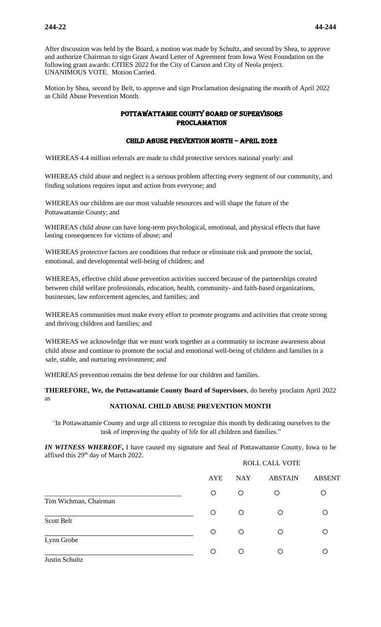After discussion was held by the Board, a motion was made by Schultz, and second by Shea, to approve and authorize Chairman to sign Grant Award Letter of Agreement from Iowa West Foundation on the following grant awards: CITIES 2022 for the City of Carson and City of Neola project. UNANIMOUS VOTE. Motion Carried.

Motion by Shea, second by Belt, to approve and sign Proclamation designating the month of April 2022 as Child Abuse Prevention Month.

### Pottawattamie County Board of Supervisors **PROCLAMATION**

### CHILD ABUSE PREVENTION MONTH – APRIL 2022

WHEREAS 4.4 million referrals are made to child protective services national yearly: and

WHEREAS child abuse and neglect is a serious problem affecting every segment of our community, and finding solutions requires input and action from everyone; and

WHEREAS our children are our most valuable resources and will shape the future of the Pottawattamie County; and

WHEREAS child abuse can have long-term psychological, emotional, and physical effects that have lasting consequences for victims of abuse; and

WHEREAS protective factors are conditions that reduce or eliminate risk and promote the social, emotional, and developmental well-being of children; and

WHEREAS, effective child abuse prevention activities succeed because of the partnerships created between child welfare professionals, education, health, community- and faith-based organizations, businesses, law enforcement agencies, and families; and

WHEREAS communities must make every effort to promote programs and activities that create strong and thriving children and families; and

WHEREAS we acknowledge that we must work together as a community to increase awareness about child abuse and continue to promote the social and emotional well-being of children and families in a safe, stable, and nurturing environment; and

WHEREAS prevention remains the best defense for our children and families.

**THEREFORE, We, the Pottawattamie County Board of Supervisors**, do hereby proclaim April 2022 as

# **NATIONAL CHILD ABUSE PREVENTION MONTH**

*"*In Pottawattamie County and urge all citizens to recognize this month by dedicating ourselves to the task of improving the quality of life for all children and families."

*IN WITNESS WHEREOF***,** I have caused my signature and Seal of Pottawattamie County, Iowa to be affixed this 29th day of March 2022. ROLL CALL VOTE

|                       | <b>AYE</b> | <b>NAY</b> | <b>ABSTAIN</b> | <b>ABSENT</b> |
|-----------------------|------------|------------|----------------|---------------|
| Tim Wichman, Chairman | O          | O          | $\circ$        | O             |
| Scott Belt            | O          | O          | O              | ∩             |
| Lynn Grobe            | O          | $\circ$    | O              | ◯             |
| Justin Schultz        | O          | O          | O              | ∩             |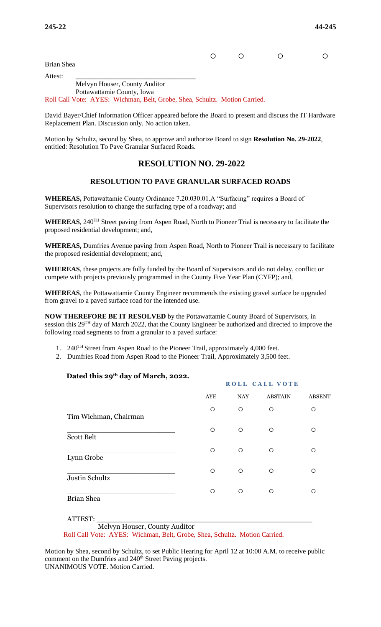$\circ$   $\circ$   $\circ$   $\circ$ Brian Shea

Attest: \_\_\_\_\_\_\_\_\_\_\_\_\_\_\_\_\_\_\_\_\_\_\_\_\_\_\_\_\_\_\_\_\_\_\_ Melvyn Houser, County Auditor Pottawattamie County, Iowa

Roll Call Vote: AYES: Wichman, Belt, Grobe, Shea, Schultz. Motion Carried.

David Bayer/Chief Information Officer appeared before the Board to present and discuss the IT Hardware Replacement Plan. Discussion only. No action taken.

Motion by Schultz, second by Shea, to approve and authorize Board to sign **Resolution No. 29-2022**, entitled: Resolution To Pave Granular Surfaced Roads.

# **RESOLUTION NO. 29-2022**

# **RESOLUTION TO PAVE GRANULAR SURFACED ROADS**

**WHEREAS,** Pottawattamie County Ordinance 7.20.030.01.A "Surfacing" requires a Board of Supervisors resolution to change the surfacing type of a roadway; and

WHEREAS, 240<sup>TH</sup> Street paving from Aspen Road, North to Pioneer Trial is necessary to facilitate the proposed residential development; and,

**WHEREAS,** Dumfries Avenue paving from Aspen Road, North to Pioneer Trail is necessary to facilitate the proposed residential development; and,

**WHEREAS**, these projects are fully funded by the Board of Supervisors and do not delay, conflict or compete with projects previously programmed in the County Five Year Plan (CYFP); and,

**WHEREAS**, the Pottawattamie County Engineer recommends the existing gravel surface be upgraded from gravel to a paved surface road for the intended use.

**NOW THEREFORE BE IT RESOLVED** by the Pottawattamie County Board of Supervisors, in session this 29TH day of March 2022, that the County Engineer be authorized and directed to improve the following road segments to from a granular to a paved surface:

- 1. 240TH Street from Aspen Road to the Pioneer Trail, approximately 4,000 feet.
- 2. Dumfries Road from Aspen Road to the Pioneer Trail, Approximately 3,500 feet.

### **Dated this 29th day of March, 2022.**

|                       | ROLL CALL VOTE |         |                |               |  |
|-----------------------|----------------|---------|----------------|---------------|--|
|                       | AYE            | NAY     | <b>ABSTAIN</b> | <b>ABSENT</b> |  |
| Tim Wichman, Chairman | $\circ$        | $\circ$ | $\circ$        | O             |  |
| Scott Belt            | $\circ$        | $\circ$ | $\circ$        | O             |  |
| Lynn Grobe            | $\circ$        | $\circ$ | $\circ$        | O             |  |
| Justin Schultz        | $\circ$        | $\circ$ | $\circ$        | $\circ$       |  |
| <b>Brian Shea</b>     | $\Omega$       | $\circ$ | $\circ$        | $\Omega$      |  |
| <b>ATTEST:</b>        |                |         |                |               |  |

Melvyn Houser, County Auditor

Roll Call Vote: AYES: Wichman, Belt, Grobe, Shea, Schultz. Motion Carried.

Motion by Shea, second by Schultz, to set Public Hearing for April 12 at 10:00 A.M. to receive public comment on the Dumfries and 240<sup>th</sup> Street Paving projects. UNANIMOUS VOTE. Motion Carried.